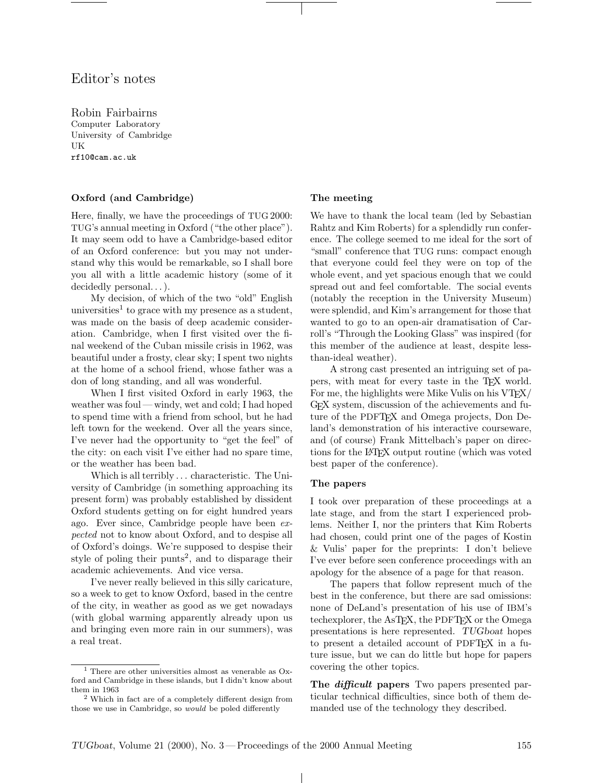# Editor's notes

Robin Fairbairns Computer Laboratory University of Cambridge UK rf10@cam.ac.uk

## Oxford (and Cambridge)

Here, finally, we have the proceedings of TUG 2000: TUG's annual meeting in Oxford ("the other place"). It may seem odd to have a Cambridge-based editor of an Oxford conference: but you may not understand why this would be remarkable, so I shall bore you all with a little academic history (some of it decidedly personal...).

My decision, of which of the two "old" English universities<sup>1</sup> to grace with my presence as a student, was made on the basis of deep academic consideration. Cambridge, when I first visited over the final weekend of the Cuban missile crisis in 1962, was beautiful under a frosty, clear sky; I spent two nights at the home of a school friend, whose father was a don of long standing, and all was wonderful.

When I first visited Oxford in early 1963, the weather was foul — windy, wet and cold; I had hoped to spend time with a friend from school, but he had left town for the weekend. Over all the years since, I've never had the opportunity to "get the feel" of the city: on each visit I've either had no spare time, or the weather has been bad.

Which is all terribly . . . characteristic. The University of Cambridge (in something approaching its present form) was probably established by dissident Oxford students getting on for eight hundred years ago. Ever since, Cambridge people have been expected not to know about Oxford, and to despise all of Oxford's doings. We're supposed to despise their style of poling their punts<sup>2</sup>, and to disparage their academic achievements. And vice versa.

I've never really believed in this silly caricature, so a week to get to know Oxford, based in the centre of the city, in weather as good as we get nowadays (with global warming apparently already upon us and bringing even more rain in our summers), was a real treat.

#### The meeting

We have to thank the local team (led by Sebastian Rahtz and Kim Roberts) for a splendidly run conference. The college seemed to me ideal for the sort of "small" conference that TUG runs: compact enough that everyone could feel they were on top of the whole event, and yet spacious enough that we could spread out and feel comfortable. The social events (notably the reception in the University Museum) were splendid, and Kim's arrangement for those that wanted to go to an open-air dramatisation of Carroll's "Through the Looking Glass" was inspired (for this member of the audience at least, despite lessthan-ideal weather).

A strong cast presented an intriguing set of papers, with meat for every taste in the T<sub>EX</sub> world. For me, the highlights were Mike Vulis on his VT<sub>F</sub>X/ GEX system, discussion of the achievements and future of the PDFTEX and Omega projects, Don Deland's demonstration of his interactive courseware, and (of course) Frank Mittelbach's paper on directions for the LATEX output routine (which was voted best paper of the conference).

#### The papers

I took over preparation of these proceedings at a late stage, and from the start I experienced problems. Neither I, nor the printers that Kim Roberts had chosen, could print one of the pages of Kostin & Vulis' paper for the preprints: I don't believe I've ever before seen conference proceedings with an apology for the absence of a page for that reason.

The papers that follow represent much of the best in the conference, but there are sad omissions: none of DeLand's presentation of his use of IBM's techexplorer, the AsTEX, the PDFTEX or the Omega presentations is here represented. TUGboat hopes to present a detailed account of PDFTEX in a future issue, but we can do little but hope for papers covering the other topics.

The *difficult* papers Two papers presented particular technical difficulties, since both of them demanded use of the technology they described.

 $\perp$ 

<sup>&</sup>lt;sup>1</sup> There are other universities almost as venerable as  $Ox$ ford and Cambridge in these islands, but I didn't know about them in 1963

<sup>2</sup> Which in fact are of a completely different design from those we use in Cambridge, so would be poled differently